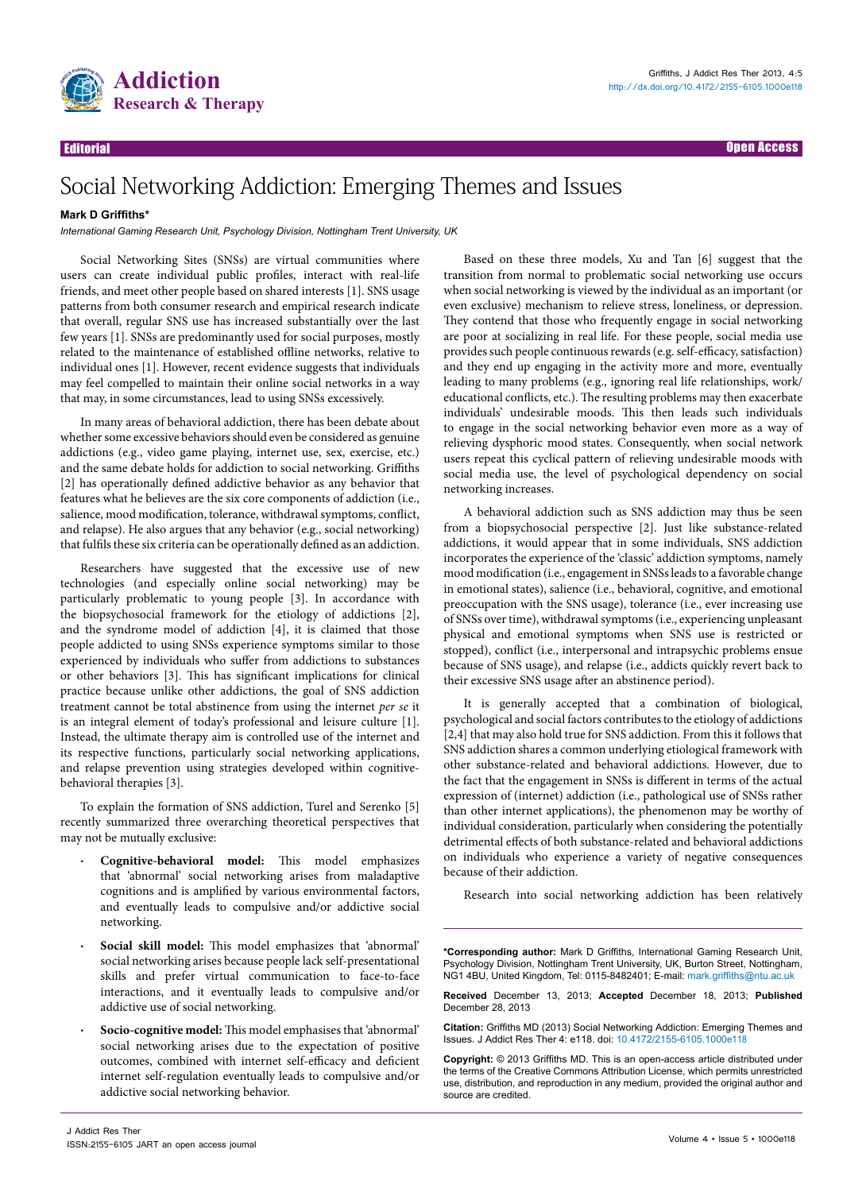

Editorial Open Access

# Social Networking Addiction: Emerging Themes and Issues

# **Mark D Griffiths\***

*International Gaming Research Unit, Psychology Division, Nottingham Trent University, UK*

Social Networking Sites (SNSs) are virtual communities where users can create individual public profiles, interact with real-life friends, and meet other people based on shared interests [1]. SNS usage patterns from both consumer research and empirical research indicate that overall, regular SNS use has increased substantially over the last few years [1]. SNSs are predominantly used for social purposes, mostly related to the maintenance of established offline networks, relative to individual ones [1]. However, recent evidence suggests that individuals may feel compelled to maintain their online social networks in a way that may, in some circumstances, lead to using SNSs excessively.

In many areas of behavioral addiction, there has been debate about whether some excessive behaviors should even be considered as genuine addictions (e.g., video game playing, internet use, sex, exercise, etc.) and the same debate holds for addiction to social networking. Griffiths [2] has operationally defined addictive behavior as any behavior that features what he believes are the six core components of addiction (i.e., salience, mood modification, tolerance, withdrawal symptoms, conflict, and relapse). He also argues that any behavior (e.g., social networking) that fulfils these six criteria can be operationally defined as an addiction.

Researchers have suggested that the excessive use of new technologies (and especially online social networking) may be particularly problematic to young people [3]. In accordance with the biopsychosocial framework for the etiology of addictions [2], and the syndrome model of addiction [4], it is claimed that those people addicted to using SNSs experience symptoms similar to those experienced by individuals who suffer from addictions to substances or other behaviors [3]. This has significant implications for clinical practice because unlike other addictions, the goal of SNS addiction treatment cannot be total abstinence from using the internet *per se* it is an integral element of today's professional and leisure culture [1]. Instead, the ultimate therapy aim is controlled use of the internet and its respective functions, particularly social networking applications, and relapse prevention using strategies developed within cognitivebehavioral therapies [3].

To explain the formation of SNS addiction, Turel and Serenko [5] recently summarized three overarching theoretical perspectives that may not be mutually exclusive:

- **· Cognitive-behavioral model:** This model emphasizes that 'abnormal' social networking arises from maladaptive cognitions and is amplified by various environmental factors, and eventually leads to compulsive and/or addictive social networking.
- **· Social skill model:** This model emphasizes that 'abnormal' social networking arises because people lack self-presentational skills and prefer virtual communication to face-to-face interactions, and it eventually leads to compulsive and/or addictive use of social networking.
- **· Socio-cognitive model:** This model emphasises that 'abnormal' social networking arises due to the expectation of positive outcomes, combined with internet self-efficacy and deficient internet self-regulation eventually leads to compulsive and/or addictive social networking behavior.

Based on these three models, Xu and Tan [6] suggest that the transition from normal to problematic social networking use occurs when social networking is viewed by the individual as an important (or even exclusive) mechanism to relieve stress, loneliness, or depression. They contend that those who frequently engage in social networking are poor at socializing in real life. For these people, social media use provides such people continuous rewards (e.g. self-efficacy, satisfaction) and they end up engaging in the activity more and more, eventually leading to many problems (e.g., ignoring real life relationships, work/ educational conflicts, etc.). The resulting problems may then exacerbate individuals' undesirable moods. This then leads such individuals to engage in the social networking behavior even more as a way of relieving dysphoric mood states. Consequently, when social network users repeat this cyclical pattern of relieving undesirable moods with social media use, the level of psychological dependency on social networking increases.

A behavioral addiction such as SNS addiction may thus be seen from a biopsychosocial perspective [2]. Just like substance-related addictions, it would appear that in some individuals, SNS addiction incorporates the experience of the 'classic' addiction symptoms, namely mood modification (i.e., engagement in SNSs leads to a favorable change in emotional states), salience (i.e., behavioral, cognitive, and emotional preoccupation with the SNS usage), tolerance (i.e., ever increasing use of SNSs over time), withdrawal symptoms (i.e., experiencing unpleasant physical and emotional symptoms when SNS use is restricted or stopped), conflict (i.e., interpersonal and intrapsychic problems ensue because of SNS usage), and relapse (i.e., addicts quickly revert back to their excessive SNS usage after an abstinence period).

It is generally accepted that a combination of biological, psychological and social factors contributes to the etiology of addictions [2,4] that may also hold true for SNS addiction. From this it follows that SNS addiction shares a common underlying etiological framework with other substance-related and behavioral addictions. However, due to the fact that the engagement in SNSs is different in terms of the actual expression of (internet) addiction (i.e., pathological use of SNSs rather than other internet applications), the phenomenon may be worthy of individual consideration, particularly when considering the potentially detrimental effects of both substance-related and behavioral addictions on individuals who experience a variety of negative consequences because of their addiction.

Research into social networking addiction has been relatively

**\*Corresponding author:** Mark D Griffiths, International Gaming Research Unit, Psychology Division, Nottingham Trent University, UK, Burton Street, Nottingham, NG1 4BU, United Kingdom, Tel: 0115-8482401; E-mail: mark.griffiths@ntu.ac.uk

**Received** December 13, 2013; **Accepted** December 18, 2013; **Published** December 28, 2013

**Citation:** Griffiths MD (2013) Social Networking Addiction: Emerging [T](http://dx.doi.org/10.4172/2155-6105.1000164)hemes and Issues. J Addict Res Ther 4: e118. doi: 10.4172/2155-6105.1000e118

**Copyright:** © 2013 Griffiths MD. This is an open-access article distributed under the terms of the Creative Commons Attribution License, which permits unrestricted use, distribution, and reproduction in any medium, provided the original author and source are credited.